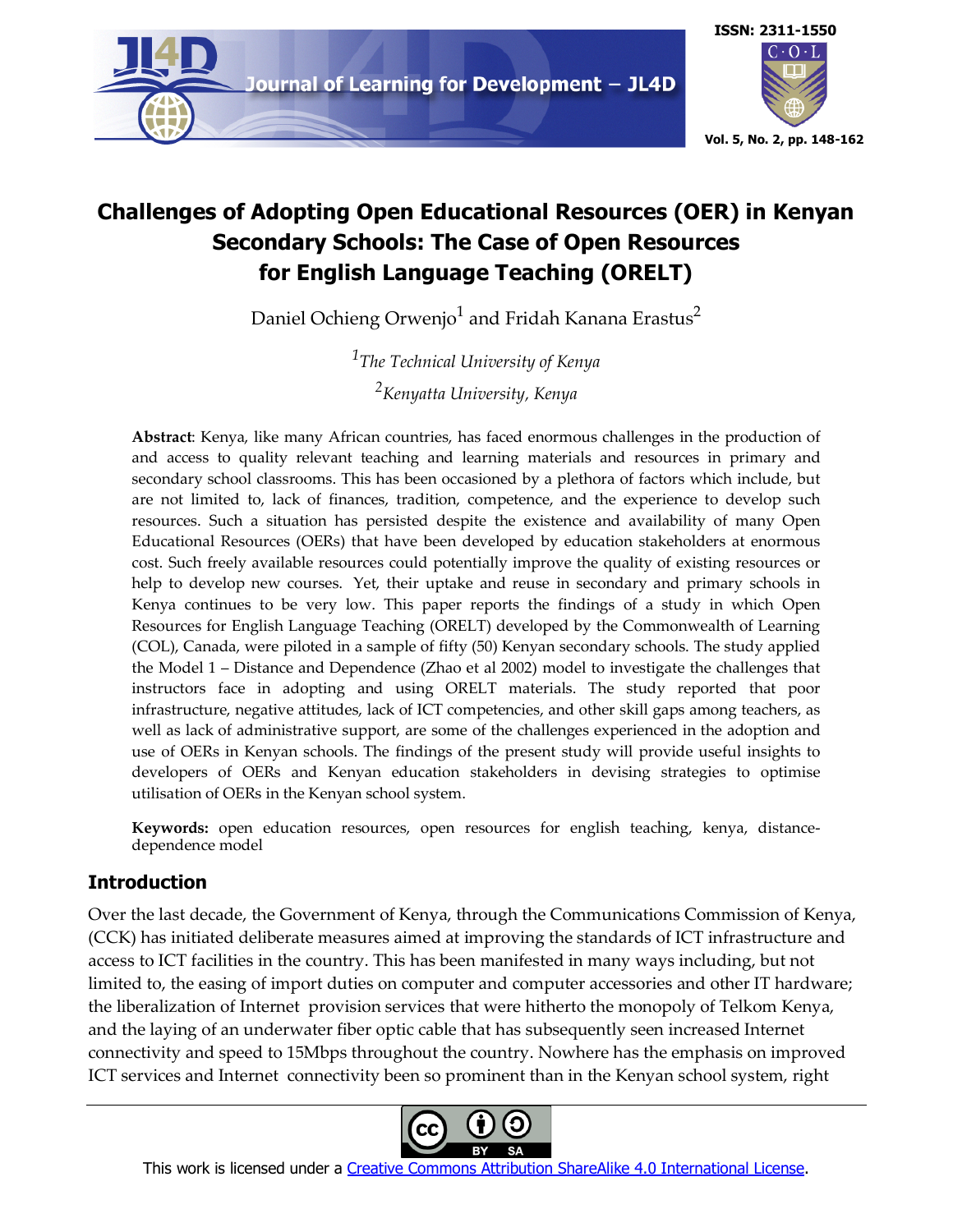

# **Challenges of Adopting Open Educational Resources (OER) in Kenyan Secondary Schools: The Case of Open Resources for English Language Teaching (ORELT)**

Daniel Ochieng Orwenjo<sup>1</sup> and Fridah Kanana Erastus<sup>2</sup>

*1 The Technical University of Kenya 2 Kenyatta University, Kenya*

**Abstract**: Kenya, like many African countries, has faced enormous challenges in the production of and access to quality relevant teaching and learning materials and resources in primary and secondary school classrooms. This has been occasioned by a plethora of factors which include, but are not limited to, lack of finances, tradition, competence, and the experience to develop such resources. Such a situation has persisted despite the existence and availability of many Open Educational Resources (OERs) that have been developed by education stakeholders at enormous cost. Such freely available resources could potentially improve the quality of existing resources or help to develop new courses. Yet, their uptake and reuse in secondary and primary schools in Kenya continues to be very low. This paper reports the findings of a study in which Open Resources for English Language Teaching (ORELT) developed by the Commonwealth of Learning (COL), Canada, were piloted in a sample of fifty (50) Kenyan secondary schools. The study applied the Model 1 – Distance and Dependence (Zhao et al 2002) model to investigate the challenges that instructors face in adopting and using ORELT materials. The study reported that poor infrastructure, negative attitudes, lack of ICT competencies, and other skill gaps among teachers, as well as lack of administrative support, are some of the challenges experienced in the adoption and use of OERs in Kenyan schools. The findings of the present study will provide useful insights to developers of OERs and Kenyan education stakeholders in devising strategies to optimise utilisation of OERs in the Kenyan school system.

**Keywords:** open education resources, open resources for english teaching, kenya, distancedependence model

## **Introduction**

Over the last decade, the Government of Kenya, through the Communications Commission of Kenya, (CCK) has initiated deliberate measures aimed at improving the standards of ICT infrastructure and access to ICT facilities in the country. This has been manifested in many ways including, but not limited to, the easing of import duties on computer and computer accessories and other IT hardware; the liberalization of Internet provision services that were hitherto the monopoly of Telkom Kenya, and the laying of an underwater fiber optic cable that has subsequently seen increased Internet connectivity and speed to 15Mbps throughout the country. Nowhere has the emphasis on improved ICT services and Internet connectivity been so prominent than in the Kenyan school system, right



This work is licensed under a Creative Commons Attribution ShareAlike 4.0 International License.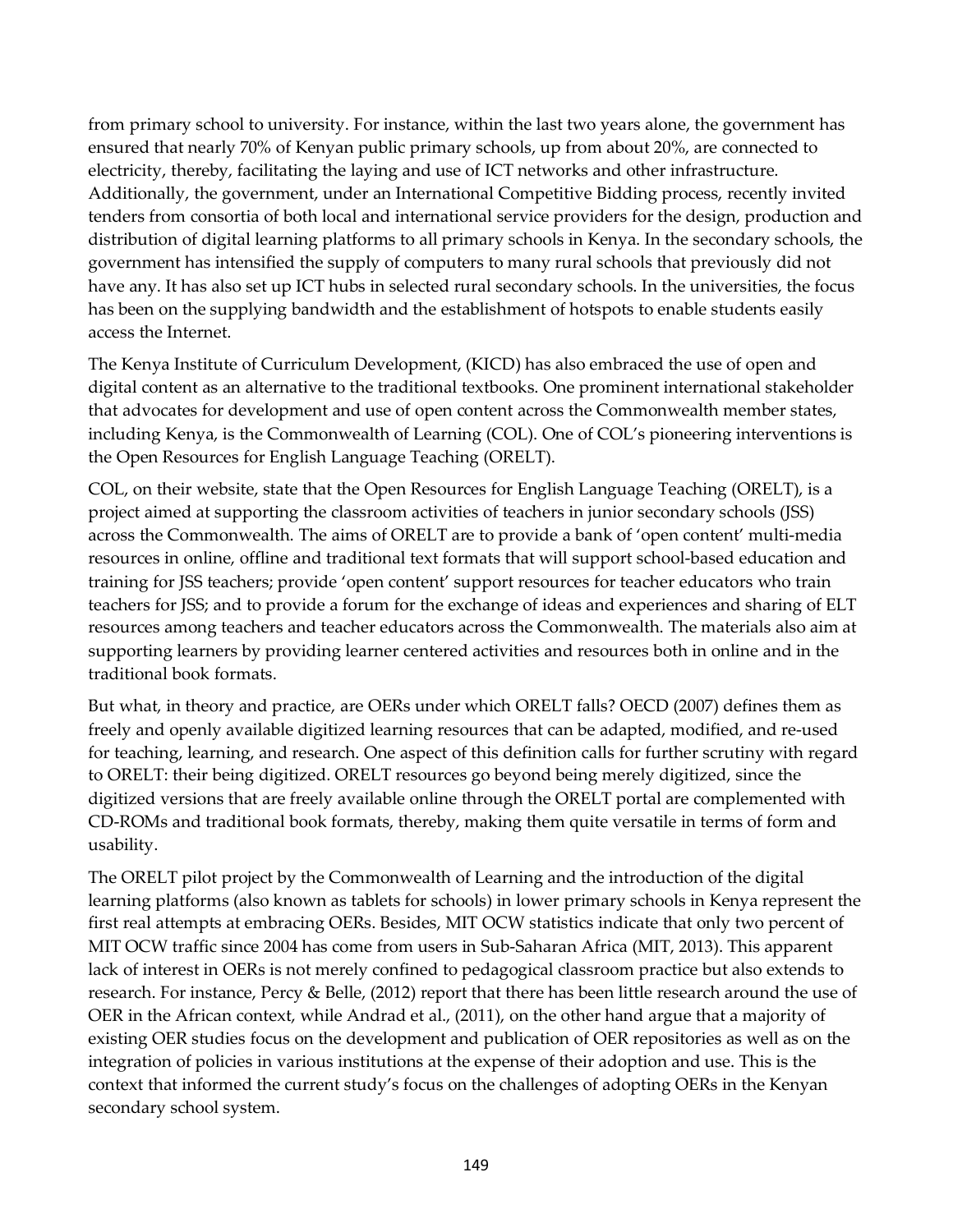from primary school to university. For instance, within the last two years alone, the government has ensured that nearly 70% of Kenyan public primary schools, up from about 20%, are connected to electricity, thereby, facilitating the laying and use of ICT networks and other infrastructure. Additionally, the government, under an International Competitive Bidding process, recently invited tenders from consortia of both local and international service providers for the design, production and distribution of digital learning platforms to all primary schools in Kenya. In the secondary schools, the government has intensified the supply of computers to many rural schools that previously did not have any. It has also set up ICT hubs in selected rural secondary schools. In the universities, the focus has been on the supplying bandwidth and the establishment of hotspots to enable students easily access the Internet.

The Kenya Institute of Curriculum Development, (KICD) has also embraced the use of open and digital content as an alternative to the traditional textbooks. One prominent international stakeholder that advocates for development and use of open content across the Commonwealth member states, including Kenya, is the Commonwealth of Learning (COL). One of COL's pioneering interventions is the Open Resources for English Language Teaching (ORELT).

COL, on their website, state that the Open Resources for English Language Teaching (ORELT), is a project aimed at supporting the classroom activities of teachers in junior secondary schools (JSS) across the Commonwealth. The aims of ORELT are to provide a bank of 'open content' multi-media resources in online, offline and traditional text formats that will support school-based education and training for JSS teachers; provide 'open content' support resources for teacher educators who train teachers for JSS; and to provide a forum for the exchange of ideas and experiences and sharing of ELT resources among teachers and teacher educators across the Commonwealth. The materials also aim at supporting learners by providing learner centered activities and resources both in online and in the traditional book formats.

But what, in theory and practice, are OERs under which ORELT falls? OECD (2007) defines them as freely and openly available digitized learning resources that can be adapted, modified, and re-used for teaching, learning, and research. One aspect of this definition calls for further scrutiny with regard to ORELT: their being digitized. ORELT resources go beyond being merely digitized, since the digitized versions that are freely available online through the ORELT portal are complemented with CD-ROMs and traditional book formats, thereby, making them quite versatile in terms of form and usability.

The ORELT pilot project by the Commonwealth of Learning and the introduction of the digital learning platforms (also known as tablets for schools) in lower primary schools in Kenya represent the first real attempts at embracing OERs. Besides, MIT OCW statistics indicate that only two percent of MIT OCW traffic since 2004 has come from users in Sub-Saharan Africa (MIT, 2013). This apparent lack of interest in OERs is not merely confined to pedagogical classroom practice but also extends to research. For instance, Percy & Belle, (2012) report that there has been little research around the use of OER in the African context, while Andrad et al., (2011), on the other hand argue that a majority of existing OER studies focus on the development and publication of OER repositories as well as on the integration of policies in various institutions at the expense of their adoption and use. This is the context that informed the current study's focus on the challenges of adopting OERs in the Kenyan secondary school system.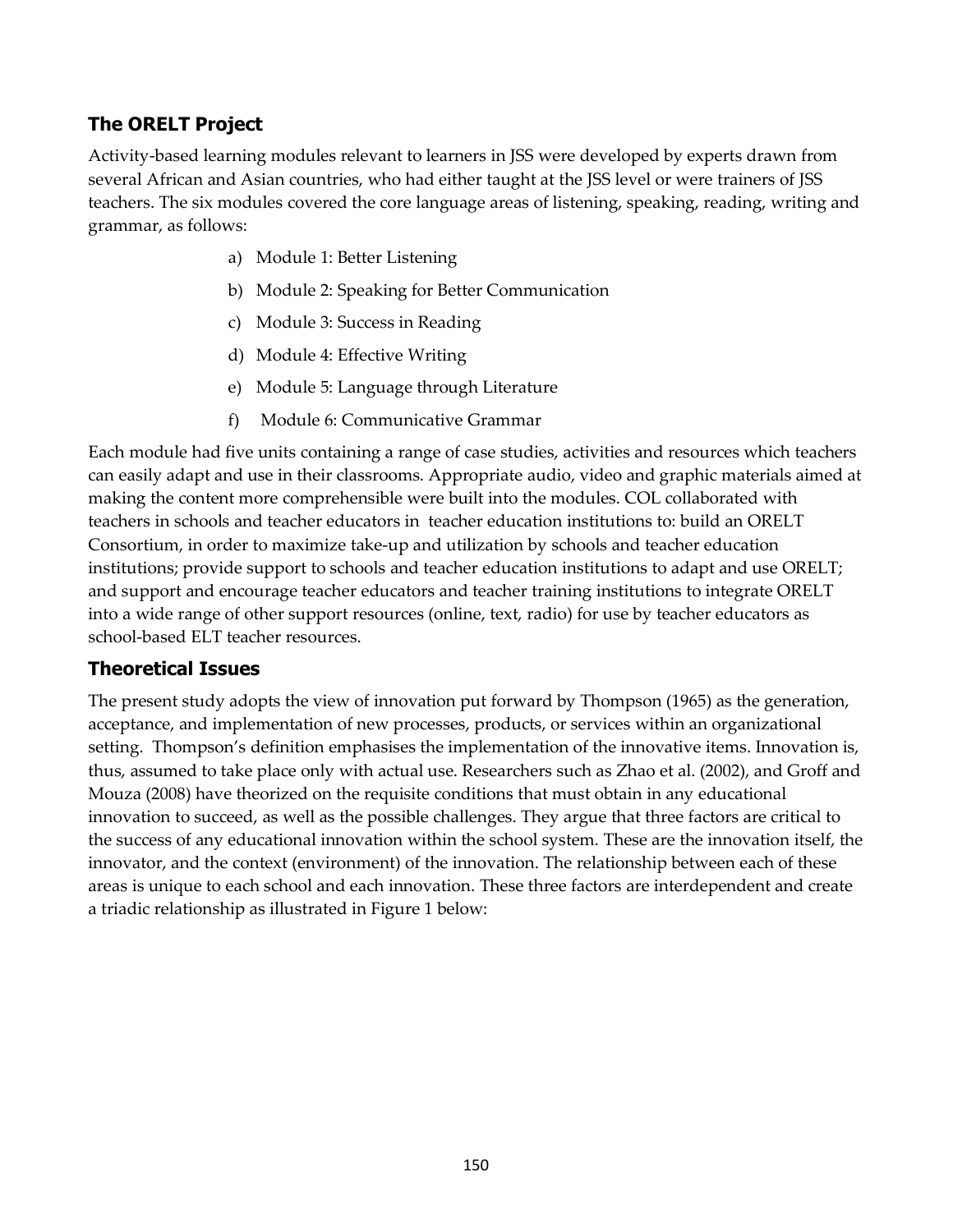## **The ORELT Project**

Activity-based learning modules relevant to learners in JSS were developed by experts drawn from several African and Asian countries, who had either taught at the JSS level or were trainers of JSS teachers. The six modules covered the core language areas of listening, speaking, reading, writing and grammar, as follows:

- a) Module 1: Better Listening
- b) Module 2: Speaking for Better Communication
- c) Module 3: Success in Reading
- d) Module 4: Effective Writing
- e) Module 5: Language through Literature
- f) Module 6: Communicative Grammar

Each module had five units containing a range of case studies, activities and resources which teachers can easily adapt and use in their classrooms. Appropriate audio, video and graphic materials aimed at making the content more comprehensible were built into the modules. COL collaborated with teachers in schools and teacher educators in teacher education institutions to: build an ORELT Consortium, in order to maximize take-up and utilization by schools and teacher education institutions; provide support to schools and teacher education institutions to adapt and use ORELT; and support and encourage teacher educators and teacher training institutions to integrate ORELT into a wide range of other support resources (online, text, radio) for use by teacher educators as school-based ELT teacher resources.

## **Theoretical Issues**

The present study adopts the view of innovation put forward by Thompson (1965) as the generation, acceptance, and implementation of new processes, products, or services within an organizational setting. Thompson's definition emphasises the implementation of the innovative items. Innovation is, thus, assumed to take place only with actual use. Researchers such as Zhao et al. (2002), and Groff and Mouza (2008) have theorized on the requisite conditions that must obtain in any educational innovation to succeed, as well as the possible challenges. They argue that three factors are critical to the success of any educational innovation within the school system. These are the innovation itself, the innovator, and the context (environment) of the innovation. The relationship between each of these areas is unique to each school and each innovation. These three factors are interdependent and create a triadic relationship as illustrated in Figure 1 below: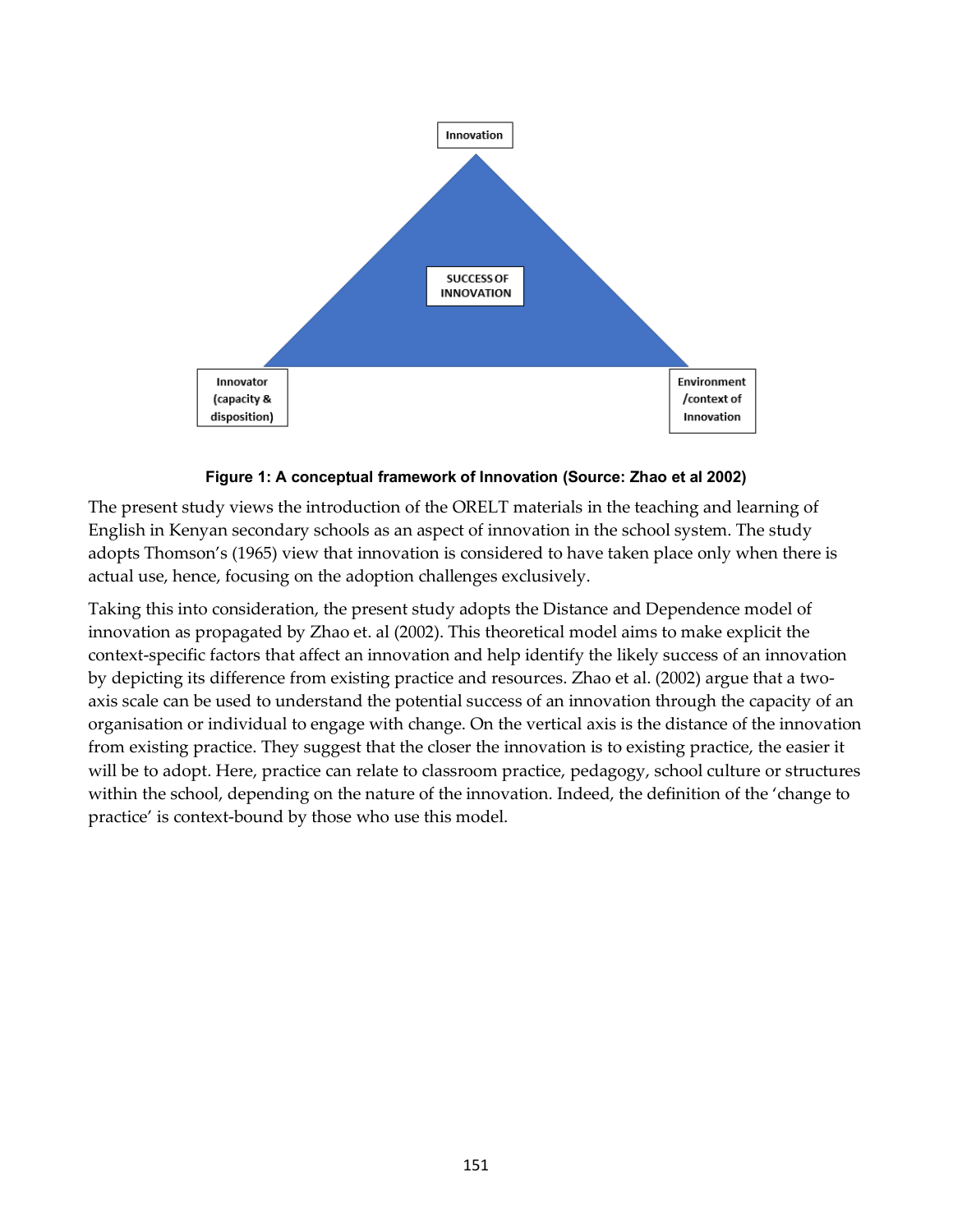

**Figure 1: A conceptual framework of Innovation (Source: Zhao et al 2002)**

The present study views the introduction of the ORELT materials in the teaching and learning of English in Kenyan secondary schools as an aspect of innovation in the school system. The study adopts Thomson's (1965) view that innovation is considered to have taken place only when there is actual use, hence, focusing on the adoption challenges exclusively.

Taking this into consideration, the present study adopts the Distance and Dependence model of innovation as propagated by Zhao et. al (2002). This theoretical model aims to make explicit the context-specific factors that affect an innovation and help identify the likely success of an innovation by depicting its difference from existing practice and resources. Zhao et al. (2002) argue that a twoaxis scale can be used to understand the potential success of an innovation through the capacity of an organisation or individual to engage with change. On the vertical axis is the distance of the innovation from existing practice. They suggest that the closer the innovation is to existing practice, the easier it will be to adopt. Here, practice can relate to classroom practice, pedagogy, school culture or structures within the school, depending on the nature of the innovation. Indeed, the definition of the 'change to practice' is context-bound by those who use this model.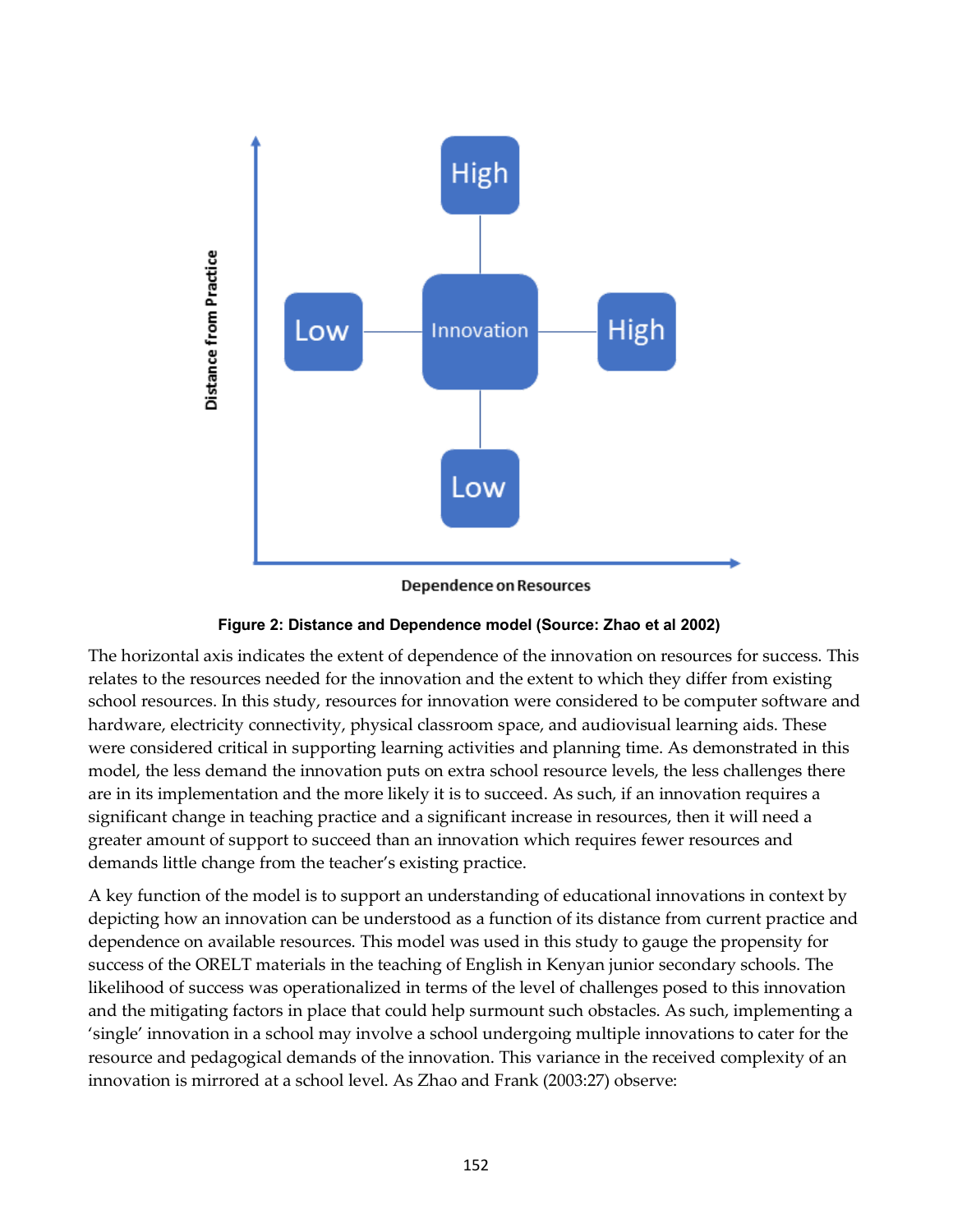

Dependence on Resources



The horizontal axis indicates the extent of dependence of the innovation on resources for success. This relates to the resources needed for the innovation and the extent to which they differ from existing school resources. In this study, resources for innovation were considered to be computer software and hardware, electricity connectivity, physical classroom space, and audiovisual learning aids. These were considered critical in supporting learning activities and planning time. As demonstrated in this model, the less demand the innovation puts on extra school resource levels, the less challenges there are in its implementation and the more likely it is to succeed. As such, if an innovation requires a significant change in teaching practice and a significant increase in resources, then it will need a greater amount of support to succeed than an innovation which requires fewer resources and demands little change from the teacher's existing practice.

A key function of the model is to support an understanding of educational innovations in context by depicting how an innovation can be understood as a function of its distance from current practice and dependence on available resources. This model was used in this study to gauge the propensity for success of the ORELT materials in the teaching of English in Kenyan junior secondary schools. The likelihood of success was operationalized in terms of the level of challenges posed to this innovation and the mitigating factors in place that could help surmount such obstacles. As such, implementing a 'single' innovation in a school may involve a school undergoing multiple innovations to cater for the resource and pedagogical demands of the innovation. This variance in the received complexity of an innovation is mirrored at a school level. As Zhao and Frank (2003:27) observe: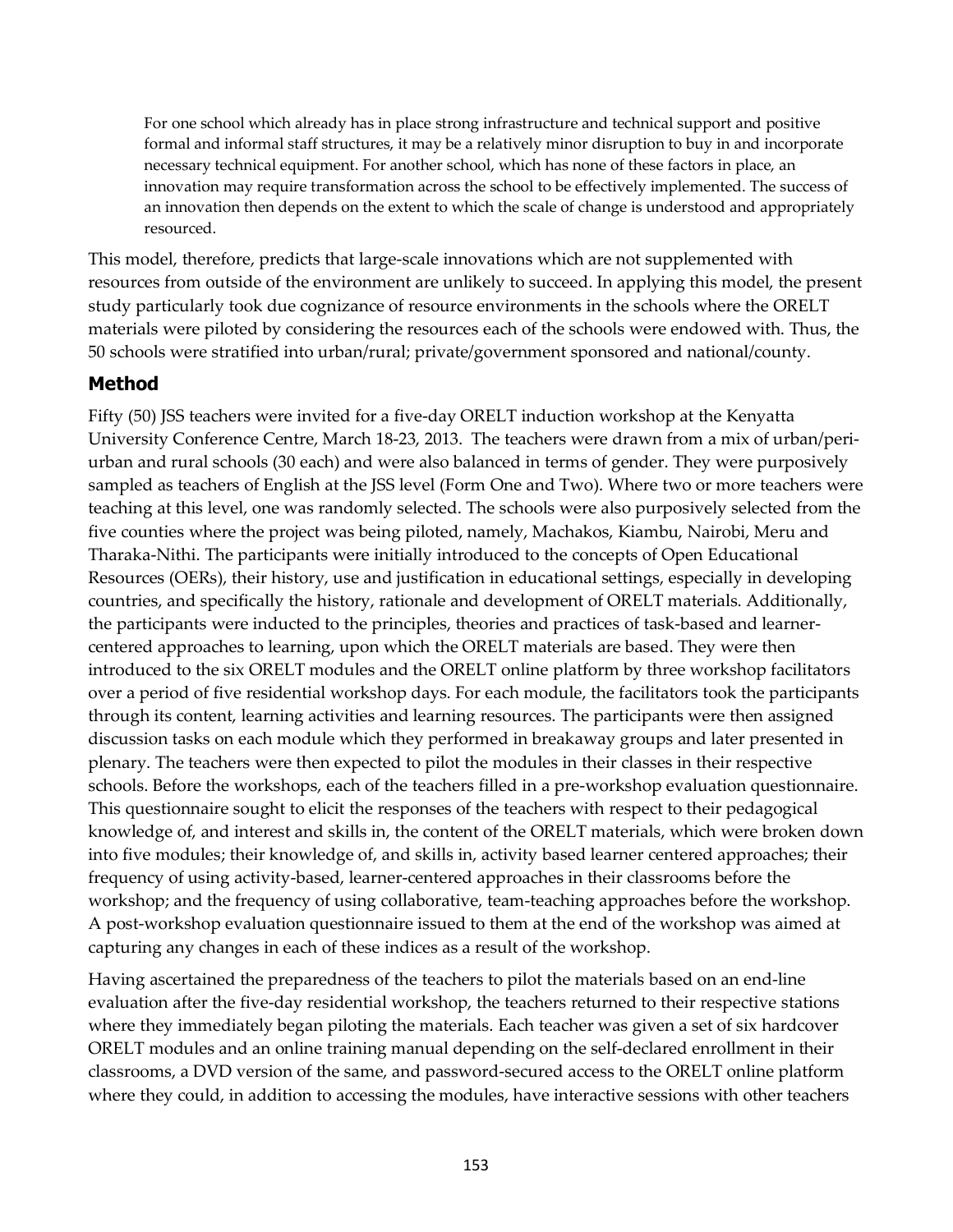For one school which already has in place strong infrastructure and technical support and positive formal and informal staff structures, it may be a relatively minor disruption to buy in and incorporate necessary technical equipment. For another school, which has none of these factors in place, an innovation may require transformation across the school to be effectively implemented. The success of an innovation then depends on the extent to which the scale of change is understood and appropriately resourced.

This model, therefore, predicts that large-scale innovations which are not supplemented with resources from outside of the environment are unlikely to succeed. In applying this model, the present study particularly took due cognizance of resource environments in the schools where the ORELT materials were piloted by considering the resources each of the schools were endowed with. Thus, the 50 schools were stratified into urban/rural; private/government sponsored and national/county.

## **Method**

Fifty (50) JSS teachers were invited for a five-day ORELT induction workshop at the Kenyatta University Conference Centre, March 18-23, 2013. The teachers were drawn from a mix of urban/periurban and rural schools (30 each) and were also balanced in terms of gender. They were purposively sampled as teachers of English at the JSS level (Form One and Two). Where two or more teachers were teaching at this level, one was randomly selected. The schools were also purposively selected from the five counties where the project was being piloted, namely, Machakos, Kiambu, Nairobi, Meru and Tharaka-Nithi. The participants were initially introduced to the concepts of Open Educational Resources (OERs), their history, use and justification in educational settings, especially in developing countries, and specifically the history, rationale and development of ORELT materials. Additionally, the participants were inducted to the principles, theories and practices of task-based and learnercentered approaches to learning, upon which the ORELT materials are based. They were then introduced to the six ORELT modules and the ORELT online platform by three workshop facilitators over a period of five residential workshop days. For each module, the facilitators took the participants through its content, learning activities and learning resources. The participants were then assigned discussion tasks on each module which they performed in breakaway groups and later presented in plenary. The teachers were then expected to pilot the modules in their classes in their respective schools. Before the workshops, each of the teachers filled in a pre-workshop evaluation questionnaire. This questionnaire sought to elicit the responses of the teachers with respect to their pedagogical knowledge of, and interest and skills in, the content of the ORELT materials, which were broken down into five modules; their knowledge of, and skills in, activity based learner centered approaches; their frequency of using activity-based, learner-centered approaches in their classrooms before the workshop; and the frequency of using collaborative, team-teaching approaches before the workshop. A post-workshop evaluation questionnaire issued to them at the end of the workshop was aimed at capturing any changes in each of these indices as a result of the workshop.

Having ascertained the preparedness of the teachers to pilot the materials based on an end-line evaluation after the five-day residential workshop, the teachers returned to their respective stations where they immediately began piloting the materials. Each teacher was given a set of six hardcover ORELT modules and an online training manual depending on the self-declared enrollment in their classrooms, a DVD version of the same, and password-secured access to the ORELT online platform where they could, in addition to accessing the modules, have interactive sessions with other teachers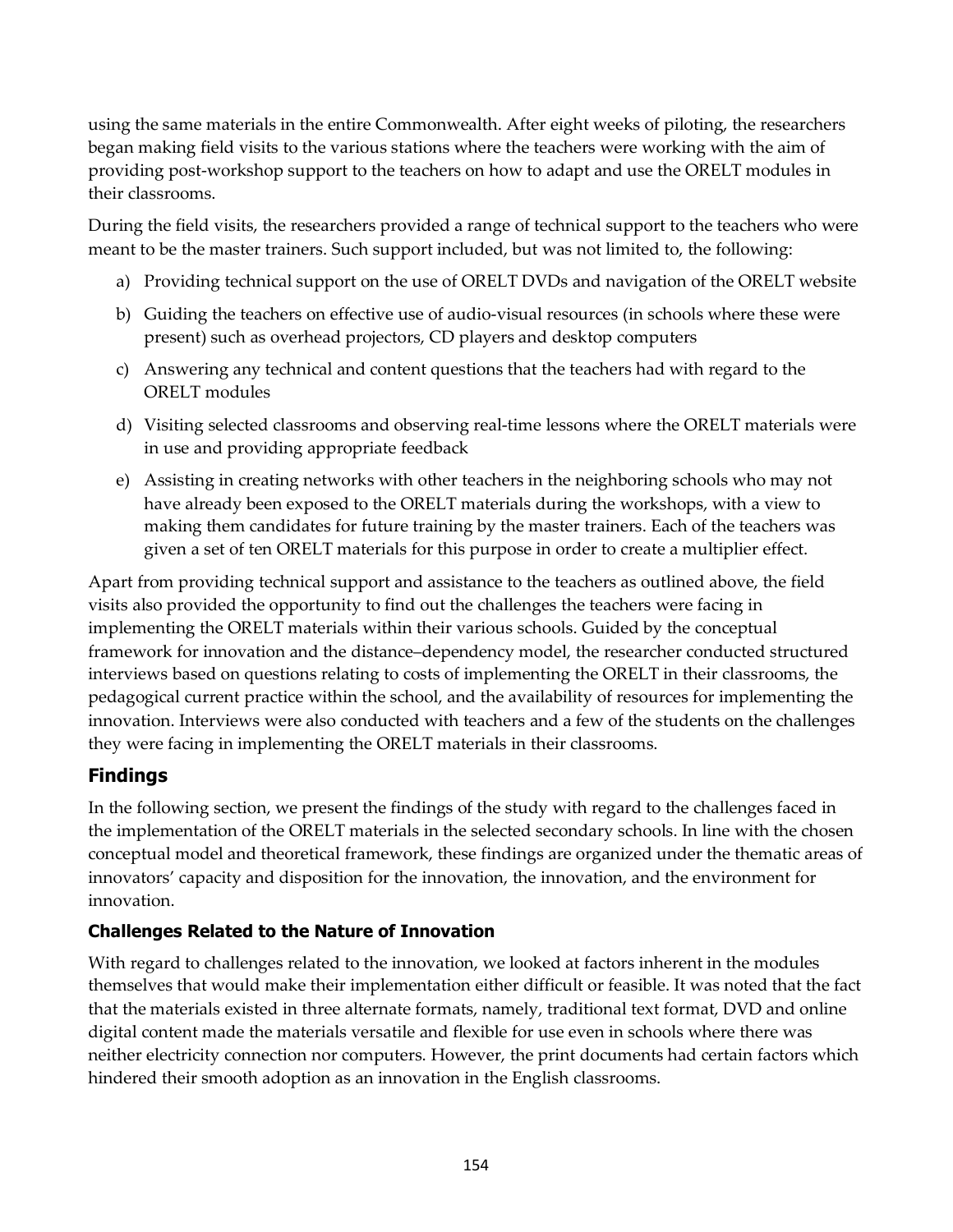using the same materials in the entire Commonwealth. After eight weeks of piloting, the researchers began making field visits to the various stations where the teachers were working with the aim of providing post-workshop support to the teachers on how to adapt and use the ORELT modules in their classrooms.

During the field visits, the researchers provided a range of technical support to the teachers who were meant to be the master trainers. Such support included, but was not limited to, the following:

- a) Providing technical support on the use of ORELT DVDs and navigation of the ORELT website
- b) Guiding the teachers on effective use of audio-visual resources (in schools where these were present) such as overhead projectors, CD players and desktop computers
- c) Answering any technical and content questions that the teachers had with regard to the ORELT modules
- d) Visiting selected classrooms and observing real-time lessons where the ORELT materials were in use and providing appropriate feedback
- e) Assisting in creating networks with other teachers in the neighboring schools who may not have already been exposed to the ORELT materials during the workshops, with a view to making them candidates for future training by the master trainers. Each of the teachers was given a set of ten ORELT materials for this purpose in order to create a multiplier effect.

Apart from providing technical support and assistance to the teachers as outlined above, the field visits also provided the opportunity to find out the challenges the teachers were facing in implementing the ORELT materials within their various schools. Guided by the conceptual framework for innovation and the distance–dependency model, the researcher conducted structured interviews based on questions relating to costs of implementing the ORELT in their classrooms, the pedagogical current practice within the school, and the availability of resources for implementing the innovation. Interviews were also conducted with teachers and a few of the students on the challenges they were facing in implementing the ORELT materials in their classrooms.

## **Findings**

In the following section, we present the findings of the study with regard to the challenges faced in the implementation of the ORELT materials in the selected secondary schools. In line with the chosen conceptual model and theoretical framework, these findings are organized under the thematic areas of innovators' capacity and disposition for the innovation, the innovation, and the environment for innovation.

## **Challenges Related to the Nature of Innovation**

With regard to challenges related to the innovation, we looked at factors inherent in the modules themselves that would make their implementation either difficult or feasible. It was noted that the fact that the materials existed in three alternate formats, namely, traditional text format, DVD and online digital content made the materials versatile and flexible for use even in schools where there was neither electricity connection nor computers. However, the print documents had certain factors which hindered their smooth adoption as an innovation in the English classrooms.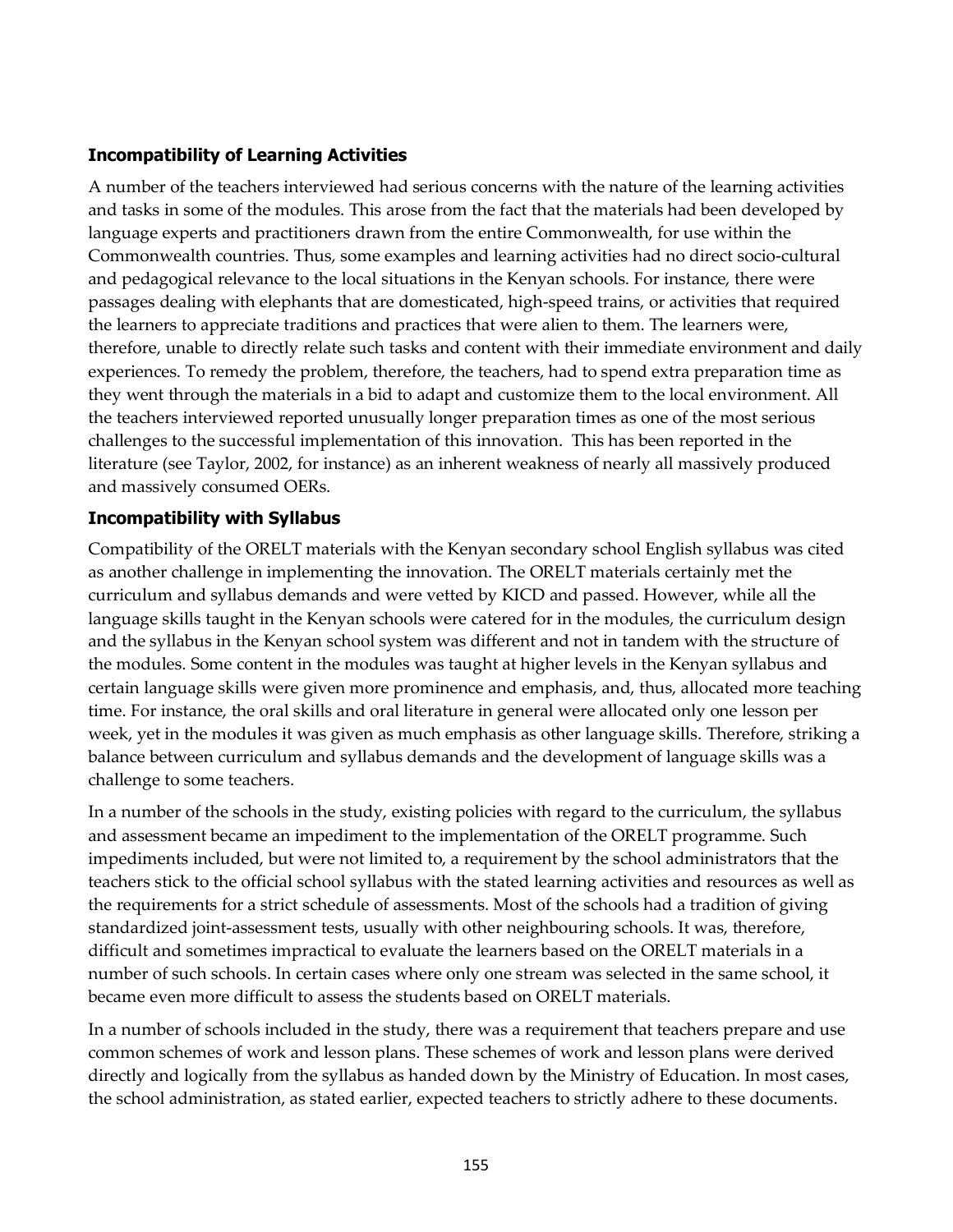#### **Incompatibility of Learning Activities**

A number of the teachers interviewed had serious concerns with the nature of the learning activities and tasks in some of the modules. This arose from the fact that the materials had been developed by language experts and practitioners drawn from the entire Commonwealth, for use within the Commonwealth countries. Thus, some examples and learning activities had no direct socio-cultural and pedagogical relevance to the local situations in the Kenyan schools. For instance, there were passages dealing with elephants that are domesticated, high-speed trains, or activities that required the learners to appreciate traditions and practices that were alien to them. The learners were, therefore, unable to directly relate such tasks and content with their immediate environment and daily experiences. To remedy the problem, therefore, the teachers, had to spend extra preparation time as they went through the materials in a bid to adapt and customize them to the local environment. All the teachers interviewed reported unusually longer preparation times as one of the most serious challenges to the successful implementation of this innovation. This has been reported in the literature (see Taylor, 2002, for instance) as an inherent weakness of nearly all massively produced and massively consumed OERs.

### **Incompatibility with Syllabus**

Compatibility of the ORELT materials with the Kenyan secondary school English syllabus was cited as another challenge in implementing the innovation. The ORELT materials certainly met the curriculum and syllabus demands and were vetted by KICD and passed. However, while all the language skills taught in the Kenyan schools were catered for in the modules, the curriculum design and the syllabus in the Kenyan school system was different and not in tandem with the structure of the modules. Some content in the modules was taught at higher levels in the Kenyan syllabus and certain language skills were given more prominence and emphasis, and, thus, allocated more teaching time. For instance, the oral skills and oral literature in general were allocated only one lesson per week, yet in the modules it was given as much emphasis as other language skills. Therefore, striking a balance between curriculum and syllabus demands and the development of language skills was a challenge to some teachers.

In a number of the schools in the study, existing policies with regard to the curriculum, the syllabus and assessment became an impediment to the implementation of the ORELT programme. Such impediments included, but were not limited to, a requirement by the school administrators that the teachers stick to the official school syllabus with the stated learning activities and resources as well as the requirements for a strict schedule of assessments. Most of the schools had a tradition of giving standardized joint-assessment tests, usually with other neighbouring schools. It was, therefore, difficult and sometimes impractical to evaluate the learners based on the ORELT materials in a number of such schools. In certain cases where only one stream was selected in the same school, it became even more difficult to assess the students based on ORELT materials.

In a number of schools included in the study, there was a requirement that teachers prepare and use common schemes of work and lesson plans. These schemes of work and lesson plans were derived directly and logically from the syllabus as handed down by the Ministry of Education. In most cases, the school administration, as stated earlier, expected teachers to strictly adhere to these documents.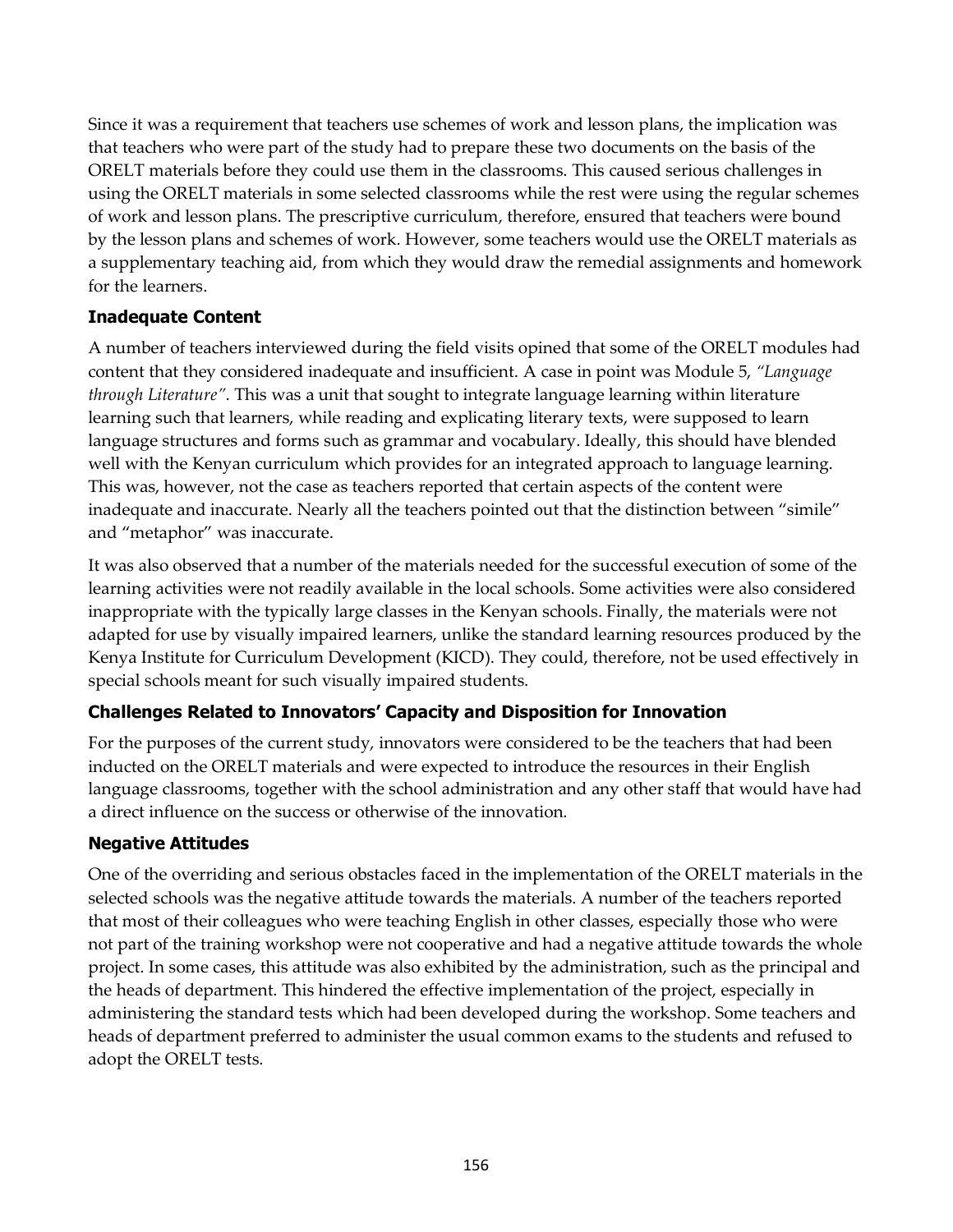Since it was a requirement that teachers use schemes of work and lesson plans, the implication was that teachers who were part of the study had to prepare these two documents on the basis of the ORELT materials before they could use them in the classrooms. This caused serious challenges in using the ORELT materials in some selected classrooms while the rest were using the regular schemes of work and lesson plans. The prescriptive curriculum, therefore, ensured that teachers were bound by the lesson plans and schemes of work. However, some teachers would use the ORELT materials as a supplementary teaching aid, from which they would draw the remedial assignments and homework for the learners.

### **Inadequate Content**

A number of teachers interviewed during the field visits opined that some of the ORELT modules had content that they considered inadequate and insufficient. A case in point was Module 5, *"Language through Literature"*. This was a unit that sought to integrate language learning within literature learning such that learners, while reading and explicating literary texts, were supposed to learn language structures and forms such as grammar and vocabulary. Ideally, this should have blended well with the Kenyan curriculum which provides for an integrated approach to language learning. This was, however, not the case as teachers reported that certain aspects of the content were inadequate and inaccurate. Nearly all the teachers pointed out that the distinction between "simile" and "metaphor" was inaccurate.

It was also observed that a number of the materials needed for the successful execution of some of the learning activities were not readily available in the local schools. Some activities were also considered inappropriate with the typically large classes in the Kenyan schools. Finally, the materials were not adapted for use by visually impaired learners, unlike the standard learning resources produced by the Kenya Institute for Curriculum Development (KICD). They could, therefore, not be used effectively in special schools meant for such visually impaired students.

## **Challenges Related to Innovators' Capacity and Disposition for Innovation**

For the purposes of the current study, innovators were considered to be the teachers that had been inducted on the ORELT materials and were expected to introduce the resources in their English language classrooms, together with the school administration and any other staff that would have had a direct influence on the success or otherwise of the innovation.

#### **Negative Attitudes**

One of the overriding and serious obstacles faced in the implementation of the ORELT materials in the selected schools was the negative attitude towards the materials. A number of the teachers reported that most of their colleagues who were teaching English in other classes, especially those who were not part of the training workshop were not cooperative and had a negative attitude towards the whole project. In some cases, this attitude was also exhibited by the administration, such as the principal and the heads of department. This hindered the effective implementation of the project, especially in administering the standard tests which had been developed during the workshop. Some teachers and heads of department preferred to administer the usual common exams to the students and refused to adopt the ORELT tests.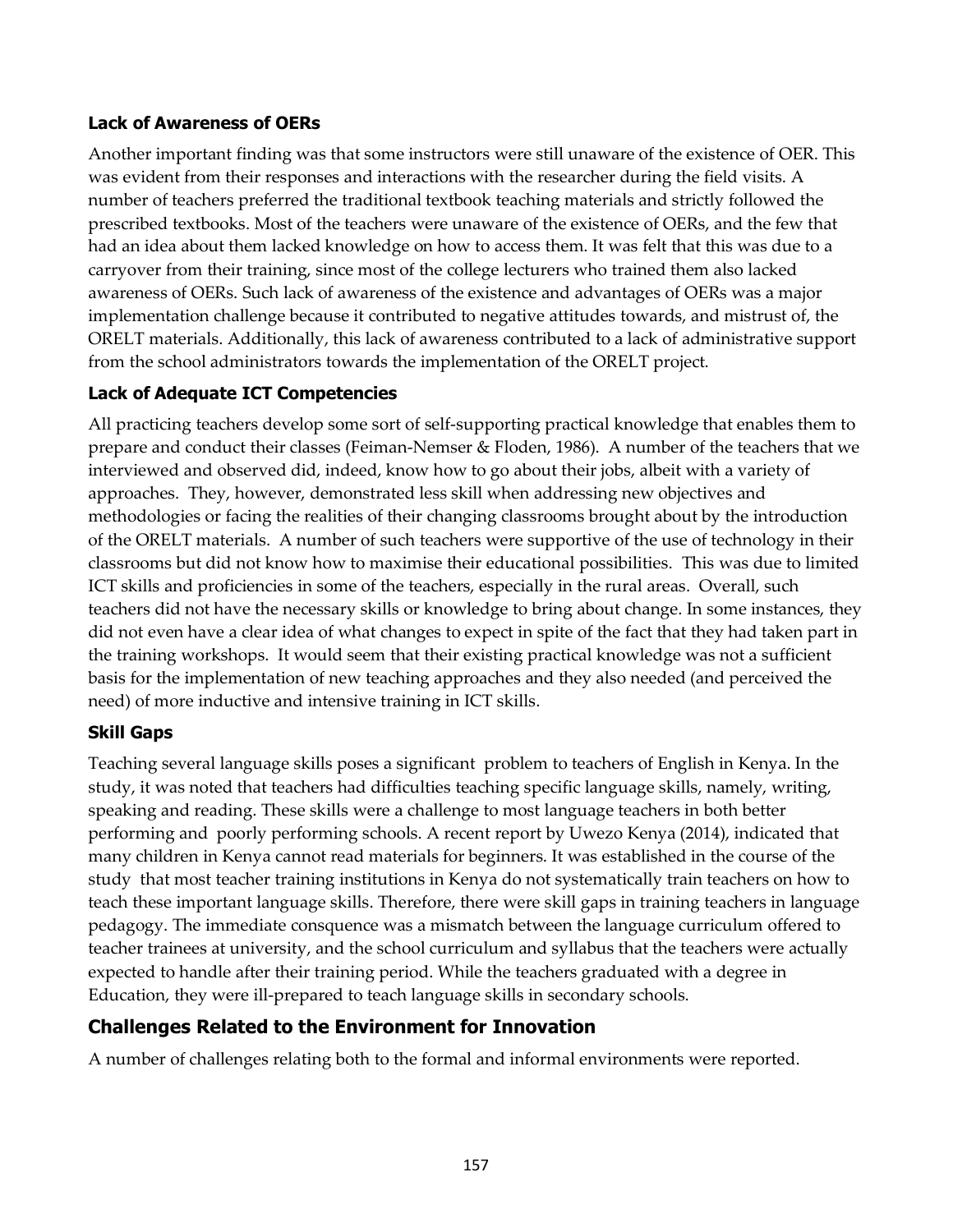#### **Lack of Awareness of OERs**

Another important finding was that some instructors were still unaware of the existence of OER. This was evident from their responses and interactions with the researcher during the field visits. A number of teachers preferred the traditional textbook teaching materials and strictly followed the prescribed textbooks. Most of the teachers were unaware of the existence of OERs, and the few that had an idea about them lacked knowledge on how to access them. It was felt that this was due to a carryover from their training, since most of the college lecturers who trained them also lacked awareness of OERs. Such lack of awareness of the existence and advantages of OERs was a major implementation challenge because it contributed to negative attitudes towards, and mistrust of, the ORELT materials. Additionally, this lack of awareness contributed to a lack of administrative support from the school administrators towards the implementation of the ORELT project.

### **Lack of Adequate ICT Competencies**

All practicing teachers develop some sort of self-supporting practical knowledge that enables them to prepare and conduct their classes (Feiman-Nemser & Floden, 1986). A number of the teachers that we interviewed and observed did, indeed, know how to go about their jobs, albeit with a variety of approaches. They, however, demonstrated less skill when addressing new objectives and methodologies or facing the realities of their changing classrooms brought about by the introduction of the ORELT materials. A number of such teachers were supportive of the use of technology in their classrooms but did not know how to maximise their educational possibilities. This was due to limited ICT skills and proficiencies in some of the teachers, especially in the rural areas. Overall, such teachers did not have the necessary skills or knowledge to bring about change. In some instances, they did not even have a clear idea of what changes to expect in spite of the fact that they had taken part in the training workshops. It would seem that their existing practical knowledge was not a sufficient basis for the implementation of new teaching approaches and they also needed (and perceived the need) of more inductive and intensive training in ICT skills.

#### **Skill Gaps**

Teaching several language skills poses a significant problem to teachers of English in Kenya. In the study, it was noted that teachers had difficulties teaching specific language skills, namely, writing, speaking and reading. These skills were a challenge to most language teachers in both better performing and poorly performing schools. A recent report by Uwezo Kenya (2014), indicated that many children in Kenya cannot read materials for beginners. It was established in the course of the study that most teacher training institutions in Kenya do not systematically train teachers on how to teach these important language skills. Therefore, there were skill gaps in training teachers in language pedagogy. The immediate consquence was a mismatch between the language curriculum offered to teacher trainees at university, and the school curriculum and syllabus that the teachers were actually expected to handle after their training period. While the teachers graduated with a degree in Education, they were ill-prepared to teach language skills in secondary schools.

## **Challenges Related to the Environment for Innovation**

A number of challenges relating both to the formal and informal environments were reported.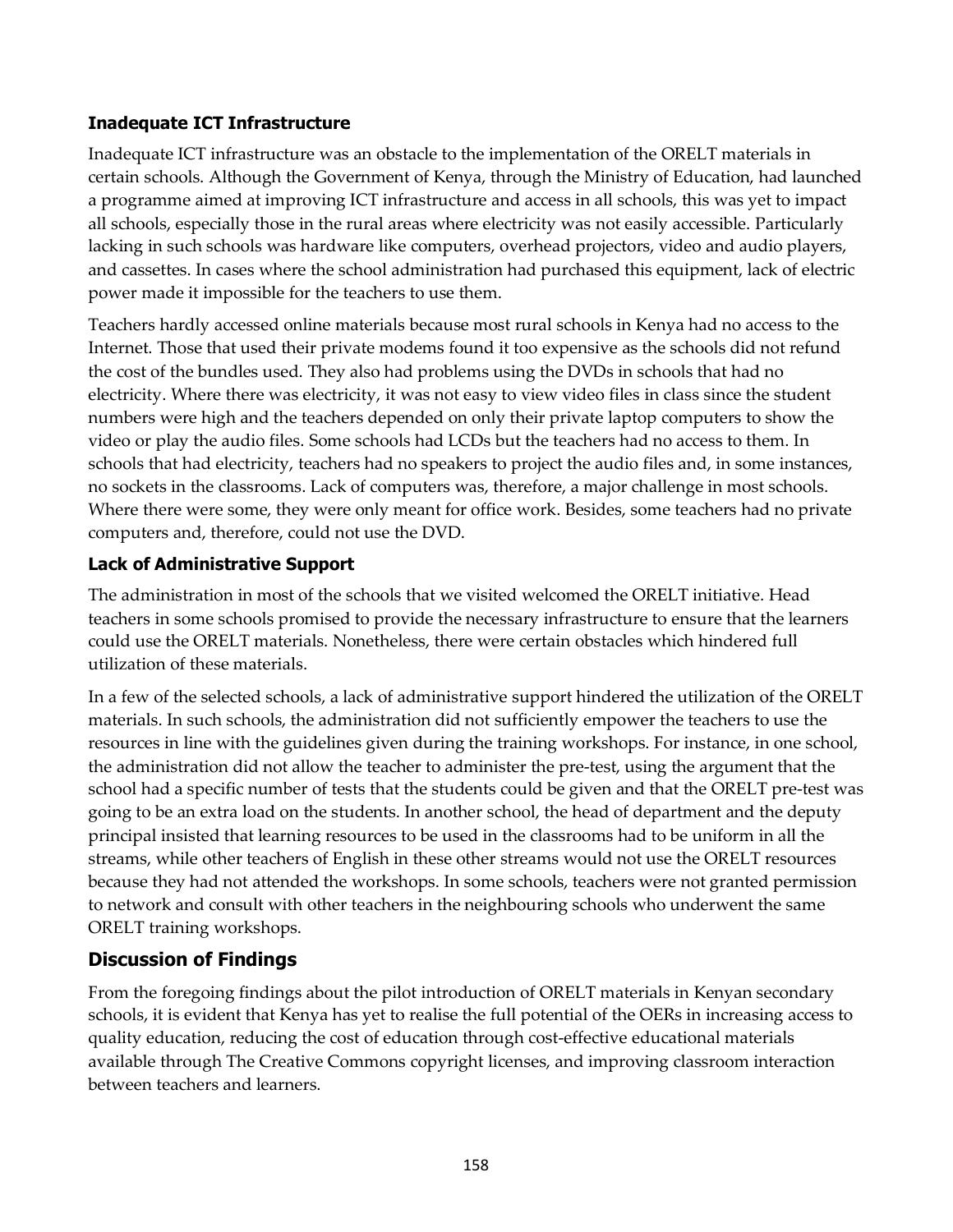### **Inadequate ICT Infrastructure**

Inadequate ICT infrastructure was an obstacle to the implementation of the ORELT materials in certain schools. Although the Government of Kenya, through the Ministry of Education, had launched a programme aimed at improving ICT infrastructure and access in all schools, this was yet to impact all schools, especially those in the rural areas where electricity was not easily accessible. Particularly lacking in such schools was hardware like computers, overhead projectors, video and audio players, and cassettes. In cases where the school administration had purchased this equipment, lack of electric power made it impossible for the teachers to use them.

Teachers hardly accessed online materials because most rural schools in Kenya had no access to the Internet. Those that used their private modems found it too expensive as the schools did not refund the cost of the bundles used. They also had problems using the DVDs in schools that had no electricity. Where there was electricity, it was not easy to view video files in class since the student numbers were high and the teachers depended on only their private laptop computers to show the video or play the audio files. Some schools had LCDs but the teachers had no access to them. In schools that had electricity, teachers had no speakers to project the audio files and, in some instances, no sockets in the classrooms. Lack of computers was, therefore, a major challenge in most schools. Where there were some, they were only meant for office work. Besides, some teachers had no private computers and, therefore, could not use the DVD.

## **Lack of Administrative Support**

The administration in most of the schools that we visited welcomed the ORELT initiative. Head teachers in some schools promised to provide the necessary infrastructure to ensure that the learners could use the ORELT materials. Nonetheless, there were certain obstacles which hindered full utilization of these materials.

In a few of the selected schools, a lack of administrative support hindered the utilization of the ORELT materials. In such schools, the administration did not sufficiently empower the teachers to use the resources in line with the guidelines given during the training workshops. For instance, in one school, the administration did not allow the teacher to administer the pre-test, using the argument that the school had a specific number of tests that the students could be given and that the ORELT pre-test was going to be an extra load on the students. In another school, the head of department and the deputy principal insisted that learning resources to be used in the classrooms had to be uniform in all the streams, while other teachers of English in these other streams would not use the ORELT resources because they had not attended the workshops. In some schools, teachers were not granted permission to network and consult with other teachers in the neighbouring schools who underwent the same ORELT training workshops.

## **Discussion of Findings**

From the foregoing findings about the pilot introduction of ORELT materials in Kenyan secondary schools, it is evident that Kenya has yet to realise the full potential of the OERs in increasing access to quality education, reducing the cost of education through cost-effective educational materials available through The Creative Commons copyright licenses, and improving classroom interaction between teachers and learners.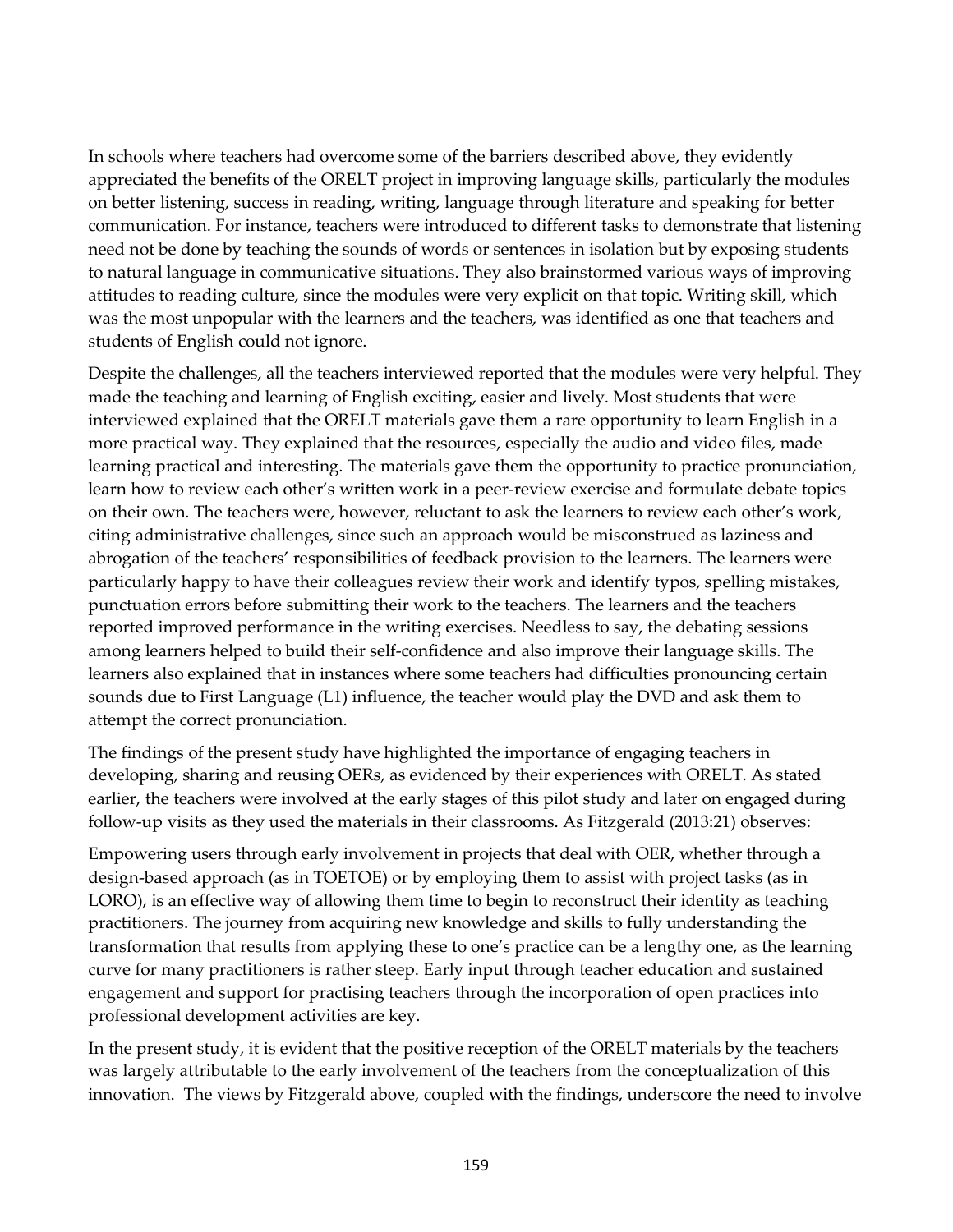In schools where teachers had overcome some of the barriers described above, they evidently appreciated the benefits of the ORELT project in improving language skills, particularly the modules on better listening, success in reading, writing, language through literature and speaking for better communication. For instance, teachers were introduced to different tasks to demonstrate that listening need not be done by teaching the sounds of words or sentences in isolation but by exposing students to natural language in communicative situations. They also brainstormed various ways of improving attitudes to reading culture, since the modules were very explicit on that topic. Writing skill, which was the most unpopular with the learners and the teachers, was identified as one that teachers and students of English could not ignore.

Despite the challenges, all the teachers interviewed reported that the modules were very helpful. They made the teaching and learning of English exciting, easier and lively. Most students that were interviewed explained that the ORELT materials gave them a rare opportunity to learn English in a more practical way. They explained that the resources, especially the audio and video files, made learning practical and interesting. The materials gave them the opportunity to practice pronunciation, learn how to review each other's written work in a peer-review exercise and formulate debate topics on their own. The teachers were, however, reluctant to ask the learners to review each other's work, citing administrative challenges, since such an approach would be misconstrued as laziness and abrogation of the teachers' responsibilities of feedback provision to the learners. The learners were particularly happy to have their colleagues review their work and identify typos, spelling mistakes, punctuation errors before submitting their work to the teachers. The learners and the teachers reported improved performance in the writing exercises. Needless to say, the debating sessions among learners helped to build their self-confidence and also improve their language skills. The learners also explained that in instances where some teachers had difficulties pronouncing certain sounds due to First Language (L1) influence, the teacher would play the DVD and ask them to attempt the correct pronunciation.

The findings of the present study have highlighted the importance of engaging teachers in developing, sharing and reusing OERs, as evidenced by their experiences with ORELT. As stated earlier, the teachers were involved at the early stages of this pilot study and later on engaged during follow-up visits as they used the materials in their classrooms. As Fitzgerald (2013:21) observes:

Empowering users through early involvement in projects that deal with OER, whether through a design-based approach (as in TOETOE) or by employing them to assist with project tasks (as in LORO), is an effective way of allowing them time to begin to reconstruct their identity as teaching practitioners. The journey from acquiring new knowledge and skills to fully understanding the transformation that results from applying these to one's practice can be a lengthy one, as the learning curve for many practitioners is rather steep. Early input through teacher education and sustained engagement and support for practising teachers through the incorporation of open practices into professional development activities are key.

In the present study, it is evident that the positive reception of the ORELT materials by the teachers was largely attributable to the early involvement of the teachers from the conceptualization of this innovation. The views by Fitzgerald above, coupled with the findings, underscore the need to involve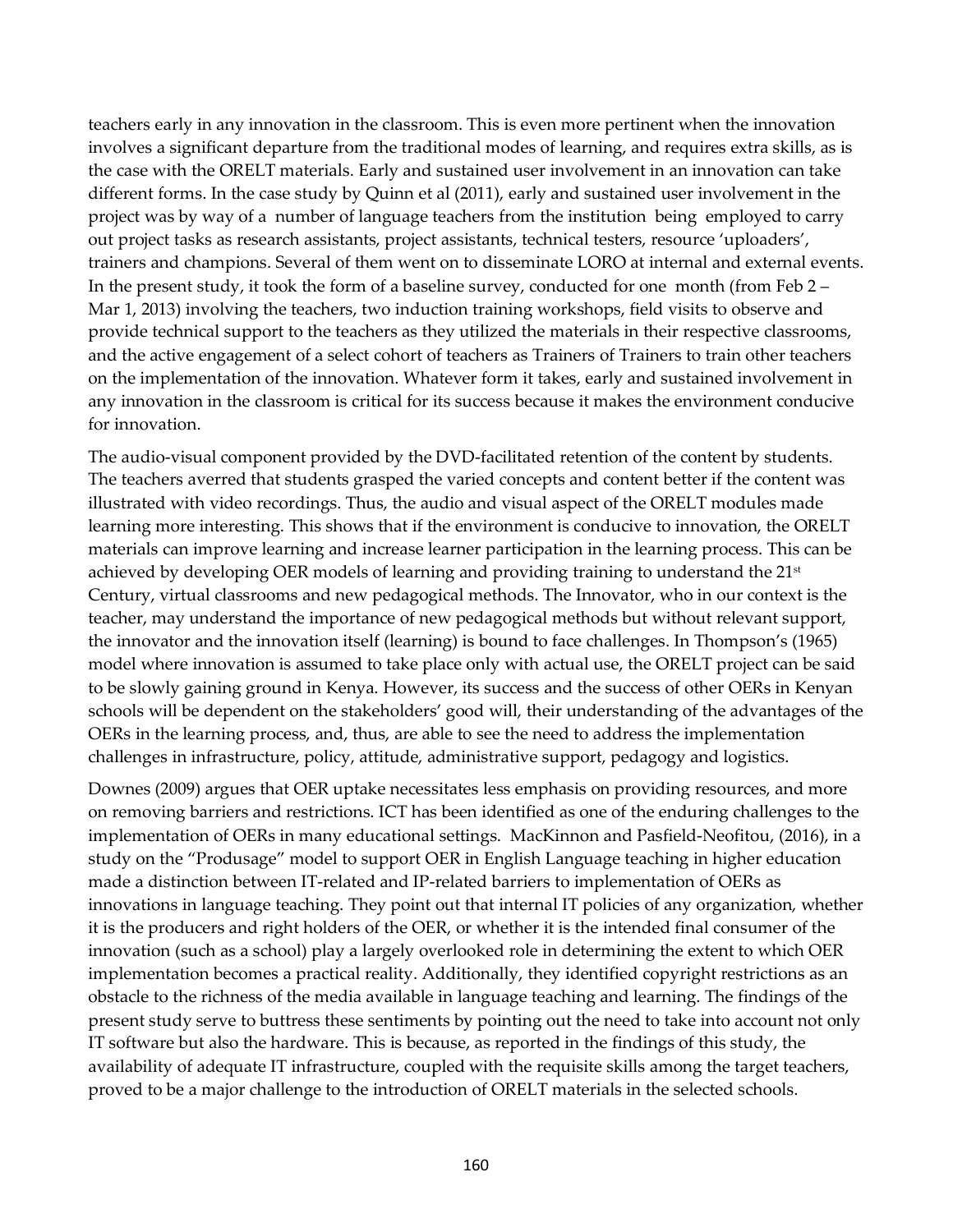teachers early in any innovation in the classroom. This is even more pertinent when the innovation involves a significant departure from the traditional modes of learning, and requires extra skills, as is the case with the ORELT materials. Early and sustained user involvement in an innovation can take different forms. In the case study by Quinn et al (2011), early and sustained user involvement in the project was by way of a number of language teachers from the institution being employed to carry out project tasks as research assistants, project assistants, technical testers, resource 'uploaders', trainers and champions. Several of them went on to disseminate LORO at internal and external events. In the present study, it took the form of a baseline survey, conducted for one month (from Feb 2 – Mar 1, 2013) involving the teachers, two induction training workshops, field visits to observe and provide technical support to the teachers as they utilized the materials in their respective classrooms, and the active engagement of a select cohort of teachers as Trainers of Trainers to train other teachers on the implementation of the innovation. Whatever form it takes, early and sustained involvement in any innovation in the classroom is critical for its success because it makes the environment conducive for innovation.

The audio-visual component provided by the DVD-facilitated retention of the content by students. The teachers averred that students grasped the varied concepts and content better if the content was illustrated with video recordings. Thus, the audio and visual aspect of the ORELT modules made learning more interesting. This shows that if the environment is conducive to innovation, the ORELT materials can improve learning and increase learner participation in the learning process. This can be achieved by developing OER models of learning and providing training to understand the 21<sup>st</sup> Century, virtual classrooms and new pedagogical methods. The Innovator, who in our context is the teacher, may understand the importance of new pedagogical methods but without relevant support, the innovator and the innovation itself (learning) is bound to face challenges. In Thompson's (1965) model where innovation is assumed to take place only with actual use, the ORELT project can be said to be slowly gaining ground in Kenya. However, its success and the success of other OERs in Kenyan schools will be dependent on the stakeholders' good will, their understanding of the advantages of the OERs in the learning process, and, thus, are able to see the need to address the implementation challenges in infrastructure, policy, attitude, administrative support, pedagogy and logistics.

Downes (2009) argues that OER uptake necessitates less emphasis on providing resources, and more on removing barriers and restrictions. ICT has been identified as one of the enduring challenges to the implementation of OERs in many educational settings. MacKinnon and Pasfield-Neofitou, (2016), in a study on the "Produsage" model to support OER in English Language teaching in higher education made a distinction between IT-related and IP-related barriers to implementation of OERs as innovations in language teaching. They point out that internal IT policies of any organization, whether it is the producers and right holders of the OER, or whether it is the intended final consumer of the innovation (such as a school) play a largely overlooked role in determining the extent to which OER implementation becomes a practical reality. Additionally, they identified copyright restrictions as an obstacle to the richness of the media available in language teaching and learning. The findings of the present study serve to buttress these sentiments by pointing out the need to take into account not only IT software but also the hardware. This is because, as reported in the findings of this study, the availability of adequate IT infrastructure, coupled with the requisite skills among the target teachers, proved to be a major challenge to the introduction of ORELT materials in the selected schools.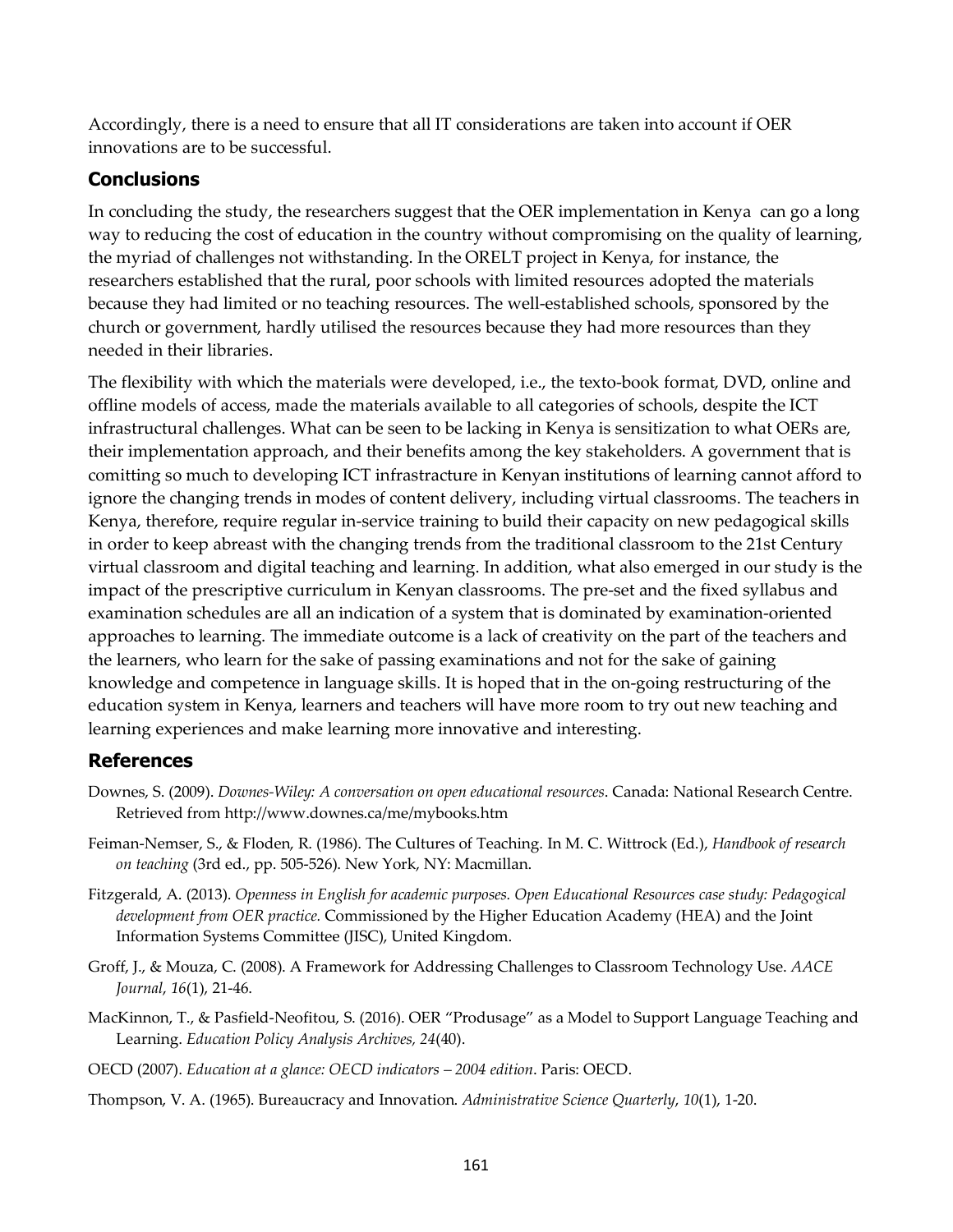Accordingly, there is a need to ensure that all IT considerations are taken into account if OER innovations are to be successful.

## **Conclusions**

In concluding the study, the researchers suggest that the OER implementation in Kenya can go a long way to reducing the cost of education in the country without compromising on the quality of learning, the myriad of challenges not withstanding. In the ORELT project in Kenya, for instance, the researchers established that the rural, poor schools with limited resources adopted the materials because they had limited or no teaching resources. The well-established schools, sponsored by the church or government, hardly utilised the resources because they had more resources than they needed in their libraries.

The flexibility with which the materials were developed, i.e., the texto-book format, DVD, online and offline models of access, made the materials available to all categories of schools, despite the ICT infrastructural challenges. What can be seen to be lacking in Kenya is sensitization to what OERs are, their implementation approach, and their benefits among the key stakeholders. A government that is comitting so much to developing ICT infrastracture in Kenyan institutions of learning cannot afford to ignore the changing trends in modes of content delivery, including virtual classrooms. The teachers in Kenya, therefore, require regular in-service training to build their capacity on new pedagogical skills in order to keep abreast with the changing trends from the traditional classroom to the 21st Century virtual classroom and digital teaching and learning. In addition, what also emerged in our study is the impact of the prescriptive curriculum in Kenyan classrooms. The pre-set and the fixed syllabus and examination schedules are all an indication of a system that is dominated by examination-oriented approaches to learning. The immediate outcome is a lack of creativity on the part of the teachers and the learners, who learn for the sake of passing examinations and not for the sake of gaining knowledge and competence in language skills. It is hoped that in the on-going restructuring of the education system in Kenya, learners and teachers will have more room to try out new teaching and learning experiences and make learning more innovative and interesting.

## **References**

- Downes, S. (2009). *Downes-Wiley: A conversation on open educational resources*. Canada: National Research Centre. Retrieved from http://www.downes.ca/me/mybooks.htm
- Feiman-Nemser, S., & Floden, R. (1986). The Cultures of Teaching. In M. C. Wittrock (Ed.), *Handbook of research on teaching* (3rd ed., pp. 505-526). New York, NY: Macmillan.
- Fitzgerald, A. (2013). *Openness in English for academic purposes. Open Educational Resources case study: Pedagogical development from OER practice.* Commissioned by the Higher Education Academy (HEA) and the Joint Information Systems Committee (JISC), United Kingdom.
- Groff, J., & Mouza, C. (2008). A Framework for Addressing Challenges to Classroom Technology Use. *AACE Journal*, *16*(1), 21-46.
- MacKinnon, T., & Pasfield-Neofitou, S. (2016). OER "Produsage" as a Model to Support Language Teaching and Learning. *Education Policy Analysis Archives, 24*(40).
- OECD (2007). *Education at a glance: OECD indicators – 2004 edition*. Paris: OECD.
- Thompson, V. A. (1965). Bureaucracy and Innovation. *Administrative Science Quarterly*, *10*(1), 1-20.